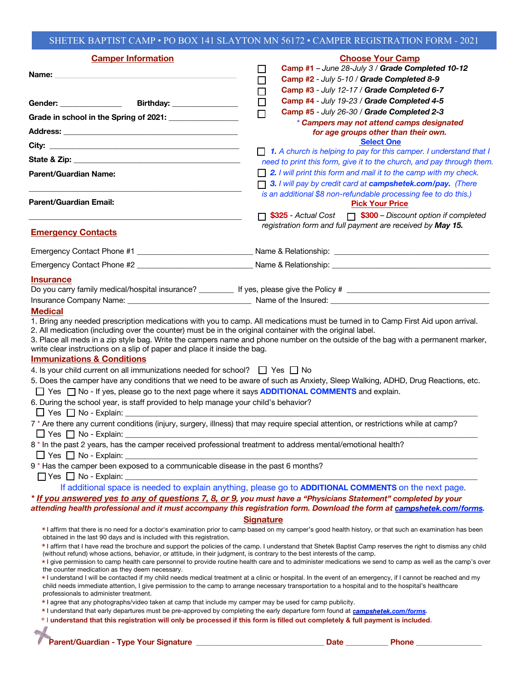## SHETEK BAPTIST CAMP • PO BOX 141 SLAYTON MN 56172 • CAMPER REGISTRATION FORM - 2021

| <b>Camper Information</b>                                                                                                                                                                                                                                        | <b>Choose Your Camp</b>                                                                                                                                                                                                                                                                                         |
|------------------------------------------------------------------------------------------------------------------------------------------------------------------------------------------------------------------------------------------------------------------|-----------------------------------------------------------------------------------------------------------------------------------------------------------------------------------------------------------------------------------------------------------------------------------------------------------------|
| Name:                                                                                                                                                                                                                                                            | Camp #1 - June 28-July 3 / Grade Completed 10-12<br>$\mathbf{L}$                                                                                                                                                                                                                                                |
|                                                                                                                                                                                                                                                                  | Camp #2 - July 5-10 / Grade Completed 8-9<br>$\Box$                                                                                                                                                                                                                                                             |
|                                                                                                                                                                                                                                                                  | Camp #3 - July 12-17 / Grade Completed 6-7<br>$\Box$<br>Camp #4 - July 19-23 / Grade Completed 4-5<br>$\Box$                                                                                                                                                                                                    |
|                                                                                                                                                                                                                                                                  | Camp #5 - July 26-30 / Grade Completed 2-3<br>$\Box$                                                                                                                                                                                                                                                            |
| Grade in school in the Spring of 2021: ____________                                                                                                                                                                                                              | * Campers may not attend camps designated                                                                                                                                                                                                                                                                       |
|                                                                                                                                                                                                                                                                  | for age groups other than their own.                                                                                                                                                                                                                                                                            |
|                                                                                                                                                                                                                                                                  | <b>Select One</b>                                                                                                                                                                                                                                                                                               |
|                                                                                                                                                                                                                                                                  | $\Box$ 1. A church is helping to pay for this camper. I understand that I<br>need to print this form, give it to the church, and pay through them.                                                                                                                                                              |
| Parent/Guardian Name:                                                                                                                                                                                                                                            | $\Box$ 2. I will print this form and mail it to the camp with my check.                                                                                                                                                                                                                                         |
|                                                                                                                                                                                                                                                                  | 3. I will pay by credit card at campshetek.com/pay. (There                                                                                                                                                                                                                                                      |
|                                                                                                                                                                                                                                                                  | is an additional \$8 non-refundable processing fee to do this.)                                                                                                                                                                                                                                                 |
| Parent/Guardian Email:                                                                                                                                                                                                                                           | <b>Pick Your Price</b>                                                                                                                                                                                                                                                                                          |
|                                                                                                                                                                                                                                                                  | □ \$325 - Actual Cost □ \$300 – Discount option if completed                                                                                                                                                                                                                                                    |
| <b>Emergency Contacts</b>                                                                                                                                                                                                                                        | registration form and full payment are received by May 15.                                                                                                                                                                                                                                                      |
|                                                                                                                                                                                                                                                                  |                                                                                                                                                                                                                                                                                                                 |
|                                                                                                                                                                                                                                                                  |                                                                                                                                                                                                                                                                                                                 |
| <b>Insurance</b>                                                                                                                                                                                                                                                 |                                                                                                                                                                                                                                                                                                                 |
|                                                                                                                                                                                                                                                                  |                                                                                                                                                                                                                                                                                                                 |
|                                                                                                                                                                                                                                                                  |                                                                                                                                                                                                                                                                                                                 |
| <b>Medical</b>                                                                                                                                                                                                                                                   |                                                                                                                                                                                                                                                                                                                 |
| 2. All medication (including over the counter) must be in the original container with the original label.                                                                                                                                                        | 1. Bring any needed prescription medications with you to camp. All medications must be turned in to Camp First Aid upon arrival.                                                                                                                                                                                |
|                                                                                                                                                                                                                                                                  | 3. Place all meds in a zip style bag. Write the campers name and phone number on the outside of the bag with a permanent marker,                                                                                                                                                                                |
| write clear instructions on a slip of paper and place it inside the bag.                                                                                                                                                                                         |                                                                                                                                                                                                                                                                                                                 |
| <b>Immunizations &amp; Conditions</b>                                                                                                                                                                                                                            |                                                                                                                                                                                                                                                                                                                 |
| 4. Is your child current on all immunizations needed for school? $\Box$ Yes $\Box$ No                                                                                                                                                                            |                                                                                                                                                                                                                                                                                                                 |
|                                                                                                                                                                                                                                                                  | 5. Does the camper have any conditions that we need to be aware of such as Anxiety, Sleep Walking, ADHD, Drug Reactions, etc.                                                                                                                                                                                   |
| □ Yes □ No - If yes, please go to the next page where it says <b>ADDITIONAL COMMENTS</b> and explain.<br>6. During the school year, is staff provided to help manage your child's behavior?                                                                      |                                                                                                                                                                                                                                                                                                                 |
|                                                                                                                                                                                                                                                                  |                                                                                                                                                                                                                                                                                                                 |
|                                                                                                                                                                                                                                                                  | 7 * Are there any current conditions (injury, surgery, illness) that may require special attention, or restrictions while at camp?                                                                                                                                                                              |
| $\Box$ Yes $\Box$ No - Explain:                                                                                                                                                                                                                                  |                                                                                                                                                                                                                                                                                                                 |
| 8 * In the past 2 years, has the camper received professional treatment to address mental/emotional health?                                                                                                                                                      |                                                                                                                                                                                                                                                                                                                 |
| $\Box$ Yes $\Box$ No - Explain:                                                                                                                                                                                                                                  |                                                                                                                                                                                                                                                                                                                 |
| 9* Has the camper been exposed to a communicable disease in the past 6 months?                                                                                                                                                                                   |                                                                                                                                                                                                                                                                                                                 |
| $\Box$ Yes $\Box$ No - Explain: __________                                                                                                                                                                                                                       |                                                                                                                                                                                                                                                                                                                 |
|                                                                                                                                                                                                                                                                  | If additional space is needed to explain anything, please go to <b>ADDITIONAL COMMENTS</b> on the next page.                                                                                                                                                                                                    |
|                                                                                                                                                                                                                                                                  | * If you answered yes to any of questions 7, 8, or 9, you must have a "Physicians Statement" completed by your<br>attending health professional and it must accompany this registration form. Download the form at campshetek.com/forms.                                                                        |
|                                                                                                                                                                                                                                                                  | <b>Signature</b>                                                                                                                                                                                                                                                                                                |
|                                                                                                                                                                                                                                                                  | *I affirm that there is no need for a doctor's examination prior to camp based on my camper's good health history, or that such an examination has been                                                                                                                                                         |
| obtained in the last 90 days and is included with this registration.                                                                                                                                                                                             |                                                                                                                                                                                                                                                                                                                 |
| (without refund) whose actions, behavior, or attitude, in their judgment, is contrary to the best interests of the camp.                                                                                                                                         | *I affirm that I have read the brochure and support the policies of the camp. I understand that Shetek Baptist Camp reserves the right to dismiss any child                                                                                                                                                     |
| the counter medication as they deem necessary.                                                                                                                                                                                                                   | *I give permission to camp health care personnel to provide routine health care and to administer medications we send to camp as well as the camp's over                                                                                                                                                        |
|                                                                                                                                                                                                                                                                  | *I understand I will be contacted if my child needs medical treatment at a clinic or hospital. In the event of an emergency, if I cannot be reached and my<br>child needs immediate attention, I give permission to the camp to arrange necessary transportation to a hospital and to the hospital's healthcare |
| professionals to administer treatment.                                                                                                                                                                                                                           |                                                                                                                                                                                                                                                                                                                 |
| $*$ agree that any photographs/video taken at camp that include my camper may be used for camp publicity.                                                                                                                                                        |                                                                                                                                                                                                                                                                                                                 |
| *I understand that early departures must be pre-approved by completing the early departure form found at campshetek.com/forms.<br>* I understand that this registration will only be processed if this form is filled out completely & full payment is included. |                                                                                                                                                                                                                                                                                                                 |
|                                                                                                                                                                                                                                                                  |                                                                                                                                                                                                                                                                                                                 |
|                                                                                                                                                                                                                                                                  | Date<br><b>Phone</b>                                                                                                                                                                                                                                                                                            |